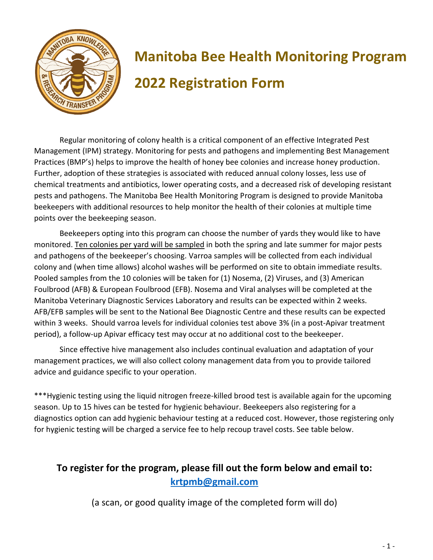

## **Manitoba Bee Health Monitoring Program 2022 Registration Form**

Regular monitoring of colony health is a critical component of an effective Integrated Pest Management (IPM) strategy. Monitoring for pests and pathogens and implementing Best Management Practices (BMP's) helps to improve the health of honey bee colonies and increase honey production. Further, adoption of these strategies is associated with reduced annual colony losses, less use of chemical treatments and antibiotics, lower operating costs, and a decreased risk of developing resistant pests and pathogens. The Manitoba Bee Health Monitoring Program is designed to provide Manitoba beekeepers with additional resources to help monitor the health of their colonies at multiple time points over the beekeeping season.

Beekeepers opting into this program can choose the number of yards they would like to have monitored. Ten colonies per yard will be sampled in both the spring and late summer for major pests and pathogens of the beekeeper's choosing. Varroa samples will be collected from each individual colony and (when time allows) alcohol washes will be performed on site to obtain immediate results. Pooled samples from the 10 colonies will be taken for (1) Nosema, (2) Viruses, and (3) American Foulbrood (AFB) & European Foulbrood (EFB). Nosema and Viral analyses will be completed at the Manitoba Veterinary Diagnostic Services Laboratory and results can be expected within 2 weeks. AFB/EFB samples will be sent to the National Bee Diagnostic Centre and these results can be expected within 3 weeks. Should varroa levels for individual colonies test above 3% (in a post-Apivar treatment period), a follow-up Apivar efficacy test may occur at no additional cost to the beekeeper.

Since effective hive management also includes continual evaluation and adaptation of your management practices, we will also collect colony management data from you to provide tailored advice and guidance specific to your operation.

\*\*\*Hygienic testing using the liquid nitrogen freeze-killed brood test is available again for the upcoming season. Up to 15 hives can be tested for hygienic behaviour. Beekeepers also registering for a diagnostics option can add hygienic behaviour testing at a reduced cost. However, those registering only for hygienic testing will be charged a service fee to help recoup travel costs. See table below.

## **To register for the program, please fill out the form below and email to: [krtpmb@gmail.com](mailto:krtpmb@gmail.com)**

(a scan, or good quality image of the completed form will do)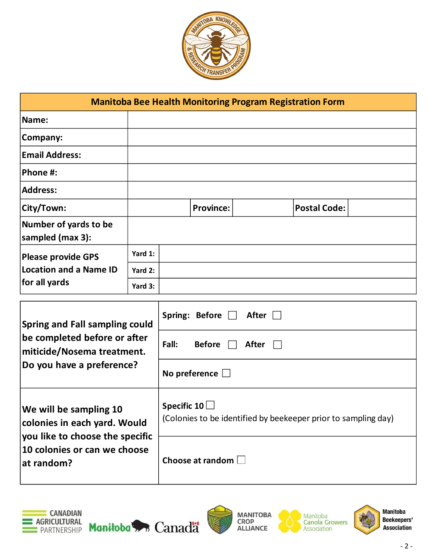

| <b>Manitoba Bee Health Monitoring Program Registration Form</b>                                         |         |       |                       |              |  |                     |  |
|---------------------------------------------------------------------------------------------------------|---------|-------|-----------------------|--------------|--|---------------------|--|
| Name:                                                                                                   |         |       |                       |              |  |                     |  |
| Company:                                                                                                |         |       |                       |              |  |                     |  |
| <b>Email Address:</b>                                                                                   |         |       |                       |              |  |                     |  |
| Phone #:                                                                                                |         |       |                       |              |  |                     |  |
| <b>Address:</b>                                                                                         |         |       |                       |              |  |                     |  |
| City/Town:                                                                                              |         |       | <b>Province:</b>      |              |  | <b>Postal Code:</b> |  |
| Number of yards to be<br>sampled (max 3):                                                               |         |       |                       |              |  |                     |  |
| <b>Please provide GPS</b><br><b>Location and a Name ID</b><br>for all yards                             | Yard 1: |       |                       |              |  |                     |  |
|                                                                                                         | Yard 2: |       |                       |              |  |                     |  |
|                                                                                                         | Yard 3: |       |                       |              |  |                     |  |
| <b>Spring and Fall sampling could</b><br>be completed before or after<br>reitiaide (Necerce trectrecent |         |       | Spring: Before $\Box$ | After $\Box$ |  |                     |  |
|                                                                                                         |         | Fall: | <b>Before</b>         | After        |  |                     |  |

| <b>Spring and Fall sampling could</b><br>be completed before or after<br>miticide/Nosema treatment.<br>Do you have a preference?        | Spring: Before<br>After<br>Fall:<br><b>Before</b><br>After<br>No preference $\Box$   |  |  |
|-----------------------------------------------------------------------------------------------------------------------------------------|--------------------------------------------------------------------------------------|--|--|
| We will be sampling 10<br>colonies in each yard. Would<br>you like to choose the specific<br>10 colonies or can we choose<br>at random? | Specific 10 $\Box$<br>(Colonies to be identified by beekeeper prior to sampling day) |  |  |
|                                                                                                                                         | Choose at random $\square$                                                           |  |  |





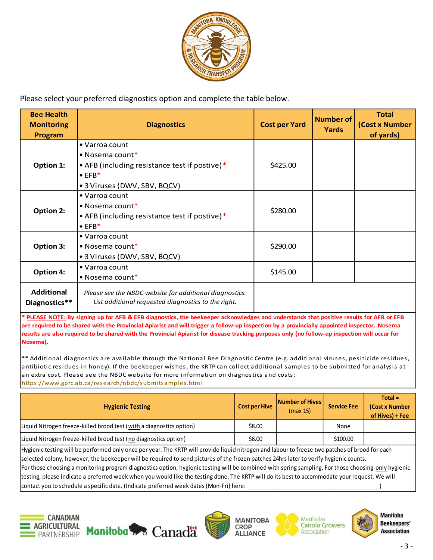

Please select your preferred diagnostics option and complete the table below.

| <b>Bee Health</b><br><b>Monitoring</b><br>Program | <b>Diagnostics</b>                                                                                                                           | <b>Cost per Yard</b> | Number of<br>Yards | <b>Total</b><br>(Cost x Number<br>of yards) |
|---------------------------------------------------|----------------------------------------------------------------------------------------------------------------------------------------------|----------------------|--------------------|---------------------------------------------|
| Option 1:                                         | • Varroa count<br>$\bullet$ Nosema count*<br>• AFB (including resistance test if postive)*<br>$\bullet$ EFB*<br>• 3 Viruses (DWV, SBV, BQCV) | \$425.00             |                    |                                             |
| <b>Option 2:</b>                                  | • Varroa count<br>$\bullet$ Nosema count*<br>• AFB (including resistance test if postive)*<br>$\bullet$ EFB*                                 | \$280.00             |                    |                                             |
| <b>Option 3:</b>                                  | • Varroa count<br>• Nosema count $*$<br>• 3 Viruses (DWV, SBV, BQCV)                                                                         | \$290.00             |                    |                                             |
| <b>Option 4:</b>                                  | • Varroa count<br>$\bullet$ Nosema count*                                                                                                    | \$145.00             |                    |                                             |
| <b>Additional</b><br>Diagnostics**                | Please see the NBDC website for additional diagnostics.<br>List additional requested diagnostics to the right.                               |                      |                    |                                             |

**\* PLEASE NOTE: By signing up for AFB & EFB diagnostics, the beekeeper acknowledges and understands that positive results for AFB or EFB are required to be shared with the Provincial Apiarist and will trigger a follow-up inspection by a provincially appointed inspector. Nosema results are also required to be shared with the Provincial Apiarist for disease tracking purposes only (no follow-up inspection will occur for Nosema).**

\*\* Additional diagnostics are available through the National Bee Diagnostic Centre (e.g. additional viruses, pesiticide residues, antibiotic residues in honey). If the beekeeper wishes, the KRTP can collect additional samples to be submitted for analysis at an extra cost. Please see the NBDC website for more information on diagnostics and costs: https://www.gprc.ab.ca/research/nbdc/submitsamples.html

| <b>Hygienic Testing</b>                                              | <b>Cost per Hive</b> | <b>Number of Hives</b><br>(max 15) | <b>Service Fee</b> | $Total =$<br>(Cost x Number<br>of Hives) + Fee |
|----------------------------------------------------------------------|----------------------|------------------------------------|--------------------|------------------------------------------------|
| Liquid Nitrogen freeze-killed brood test (with a diagnostics option) | \$8.00               |                                    | None               |                                                |
| Liquid Nitrogen freeze-killed brood test (no diagnostics option)     | \$8.00               |                                    | \$100.00           |                                                |
| .<br>.                                                               |                      | $\cdots$ . The set of $\cdots$     | .                  |                                                |

Hygienic testing will be performed only once per year. The KRTP will provide liquid nitrogen and labour to freeze two patches of brood for each selected colony, however, the beekeeper will be required to send pictures of the frozen patches 24hrs later to verify hygienic counts. For those choosing a monitoring program diagnostics option, hygienic testing will be combined with spring sampling. For those choosing only hygienic testing, please indicate a preferred week when you would like the testing done. The KRTP will do its best to accommodate your request. We will contact you to schedule a specific date. (Indicate preferred week dates (Mon-Fri) here:  $\overline{\phantom{a}}$ 











**Manitoba Beekeepers' Association**